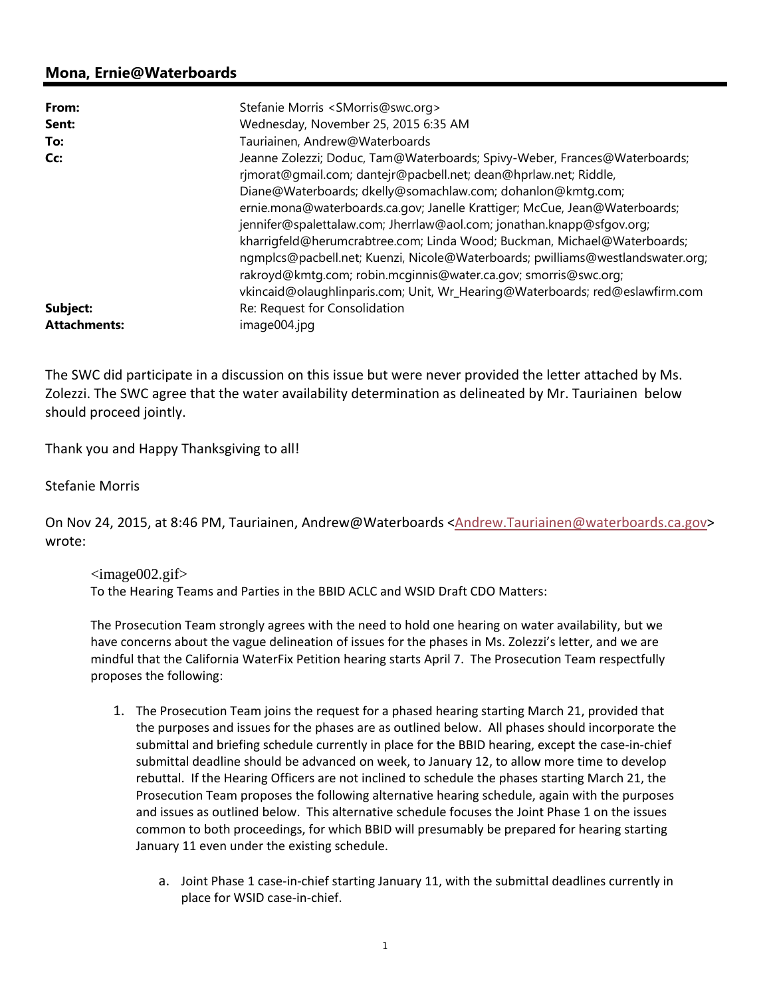## **Mona, Ernie@Waterboards**

| From:               | Stefanie Morris <smorris@swc.org></smorris@swc.org>                                                                                                                                                                                                                                                                                                                                                                                                                                                                                                                                                                                                                                  |
|---------------------|--------------------------------------------------------------------------------------------------------------------------------------------------------------------------------------------------------------------------------------------------------------------------------------------------------------------------------------------------------------------------------------------------------------------------------------------------------------------------------------------------------------------------------------------------------------------------------------------------------------------------------------------------------------------------------------|
| Sent:               | Wednesday, November 25, 2015 6:35 AM                                                                                                                                                                                                                                                                                                                                                                                                                                                                                                                                                                                                                                                 |
| To:                 | Tauriainen, Andrew@Waterboards                                                                                                                                                                                                                                                                                                                                                                                                                                                                                                                                                                                                                                                       |
| Cc:                 | Jeanne Zolezzi; Doduc, Tam@Waterboards; Spivy-Weber, Frances@Waterboards;<br>rjmorat@gmail.com; dantejr@pacbell.net; dean@hprlaw.net; Riddle,<br>Diane@Waterboards; dkelly@somachlaw.com; dohanlon@kmtq.com;<br>ernie.mona@waterboards.ca.gov; Janelle Krattiger; McCue, Jean@Waterboards;<br>jennifer@spalettalaw.com; Jherrlaw@aol.com; jonathan.knapp@sfgov.org;<br>kharrigfeld@herumcrabtree.com; Linda Wood; Buckman, Michael@Waterboards;<br>ngmplcs@pacbell.net; Kuenzi, Nicole@Waterboards; pwilliams@westlandswater.org;<br>rakroyd@kmtg.com; robin.mcginnis@water.ca.gov; smorris@swc.org;<br>vkincaid@olaughlinparis.com; Unit, Wr_Hearing@Waterboards; red@eslawfirm.com |
| Subject:            | Re: Request for Consolidation                                                                                                                                                                                                                                                                                                                                                                                                                                                                                                                                                                                                                                                        |
| <b>Attachments:</b> | image004.jpg                                                                                                                                                                                                                                                                                                                                                                                                                                                                                                                                                                                                                                                                         |

The SWC did participate in a discussion on this issue but were never provided the letter attached by Ms. Zolezzi. The SWC agree that the water availability determination as delineated by Mr. Tauriainen below should proceed jointly.

Thank you and Happy Thanksgiving to all!

Stefanie Morris

On Nov 24, 2015, at 8:46 PM, Tauriainen, Andrew@Waterboards <Andrew.Tauriainen@waterboards.ca.gov> wrote:

 $\langle \text{image002} \text{.gif} \rangle$ To the Hearing Teams and Parties in the BBID ACLC and WSID Draft CDO Matters:

The Prosecution Team strongly agrees with the need to hold one hearing on water availability, but we have concerns about the vague delineation of issues for the phases in Ms. Zolezzi's letter, and we are mindful that the California WaterFix Petition hearing starts April 7. The Prosecution Team respectfully proposes the following:

- 1. The Prosecution Team joins the request for a phased hearing starting March 21, provided that the purposes and issues for the phases are as outlined below. All phases should incorporate the submittal and briefing schedule currently in place for the BBID hearing, except the case-in-chief submittal deadline should be advanced on week, to January 12, to allow more time to develop rebuttal. If the Hearing Officers are not inclined to schedule the phases starting March 21, the Prosecution Team proposes the following alternative hearing schedule, again with the purposes and issues as outlined below. This alternative schedule focuses the Joint Phase 1 on the issues common to both proceedings, for which BBID will presumably be prepared for hearing starting January 11 even under the existing schedule.
	- a. Joint Phase 1 case‐in‐chief starting January 11, with the submittal deadlines currently in place for WSID case‐in‐chief.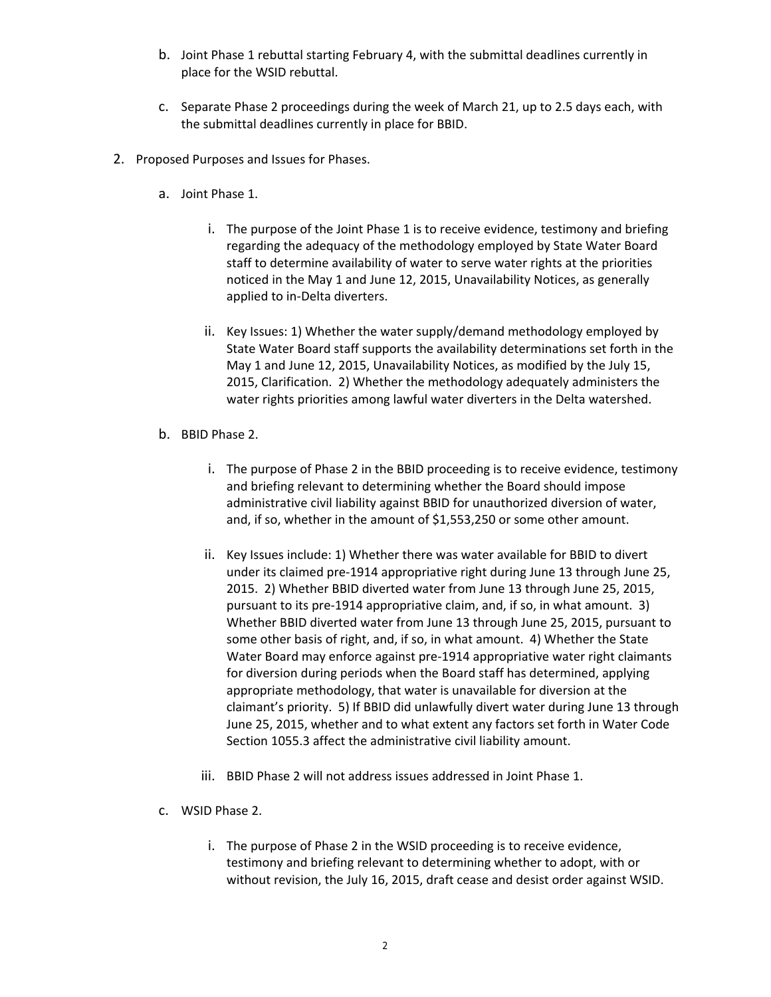- b. Joint Phase 1 rebuttal starting February 4, with the submittal deadlines currently in place for the WSID rebuttal.
- c. Separate Phase 2 proceedings during the week of March 21, up to 2.5 days each, with the submittal deadlines currently in place for BBID.
- 2. Proposed Purposes and Issues for Phases.
	- a. Joint Phase 1.
		- i. The purpose of the Joint Phase 1 is to receive evidence, testimony and briefing regarding the adequacy of the methodology employed by State Water Board staff to determine availability of water to serve water rights at the priorities noticed in the May 1 and June 12, 2015, Unavailability Notices, as generally applied to in‐Delta diverters.
		- ii. Key Issues: 1) Whether the water supply/demand methodology employed by State Water Board staff supports the availability determinations set forth in the May 1 and June 12, 2015, Unavailability Notices, as modified by the July 15, 2015, Clarification. 2) Whether the methodology adequately administers the water rights priorities among lawful water diverters in the Delta watershed.
	- b. BBID Phase 2.
		- i. The purpose of Phase 2 in the BBID proceeding is to receive evidence, testimony and briefing relevant to determining whether the Board should impose administrative civil liability against BBID for unauthorized diversion of water, and, if so, whether in the amount of \$1,553,250 or some other amount.
		- ii. Key Issues include: 1) Whether there was water available for BBID to divert under its claimed pre‐1914 appropriative right during June 13 through June 25, 2015. 2) Whether BBID diverted water from June 13 through June 25, 2015, pursuant to its pre‐1914 appropriative claim, and, if so, in what amount. 3) Whether BBID diverted water from June 13 through June 25, 2015, pursuant to some other basis of right, and, if so, in what amount. 4) Whether the State Water Board may enforce against pre‐1914 appropriative water right claimants for diversion during periods when the Board staff has determined, applying appropriate methodology, that water is unavailable for diversion at the claimant's priority. 5) If BBID did unlawfully divert water during June 13 through June 25, 2015, whether and to what extent any factors set forth in Water Code Section 1055.3 affect the administrative civil liability amount.
		- iii. BBID Phase 2 will not address issues addressed in Joint Phase 1.
	- c. WSID Phase 2.
		- i. The purpose of Phase 2 in the WSID proceeding is to receive evidence, testimony and briefing relevant to determining whether to adopt, with or without revision, the July 16, 2015, draft cease and desist order against WSID.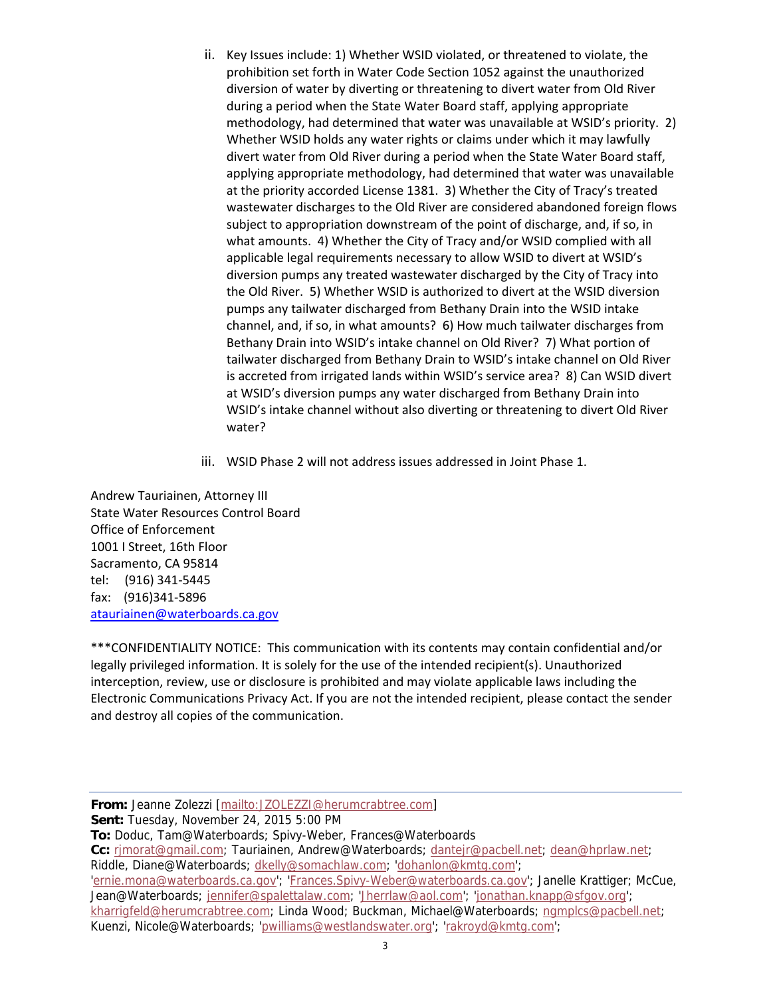- ii. Key Issues include: 1) Whether WSID violated, or threatened to violate, the prohibition set forth in Water Code Section 1052 against the unauthorized diversion of water by diverting or threatening to divert water from Old River during a period when the State Water Board staff, applying appropriate methodology, had determined that water was unavailable at WSID's priority. 2) Whether WSID holds any water rights or claims under which it may lawfully divert water from Old River during a period when the State Water Board staff, applying appropriate methodology, had determined that water was unavailable at the priority accorded License 1381. 3) Whether the City of Tracy's treated wastewater discharges to the Old River are considered abandoned foreign flows subject to appropriation downstream of the point of discharge, and, if so, in what amounts. 4) Whether the City of Tracy and/or WSID complied with all applicable legal requirements necessary to allow WSID to divert at WSID's diversion pumps any treated wastewater discharged by the City of Tracy into the Old River. 5) Whether WSID is authorized to divert at the WSID diversion pumps any tailwater discharged from Bethany Drain into the WSID intake channel, and, if so, in what amounts? 6) How much tailwater discharges from Bethany Drain into WSID's intake channel on Old River? 7) What portion of tailwater discharged from Bethany Drain to WSID's intake channel on Old River is accreted from irrigated lands within WSID's service area? 8) Can WSID divert at WSID's diversion pumps any water discharged from Bethany Drain into WSID's intake channel without also diverting or threatening to divert Old River water?
- iii. WSID Phase 2 will not address issues addressed in Joint Phase 1.

Andrew Tauriainen, Attorney III State Water Resources Control Board Office of Enforcement 1001 I Street, 16th Floor Sacramento, CA 95814 tel: (916) 341‐5445 fax: (916)341‐5896 atauriainen@waterboards.ca.gov

\*\*\*CONFIDENTIALITY NOTICE: This communication with its contents may contain confidential and/or legally privileged information. It is solely for the use of the intended recipient(s). Unauthorized interception, review, use or disclosure is prohibited and may violate applicable laws including the Electronic Communications Privacy Act. If you are not the intended recipient, please contact the sender and destroy all copies of the communication.

**From:** Jeanne Zolezzi [mailto:JZOLEZZI@herumcrabtree.com]

**Sent:** Tuesday, November 24, 2015 5:00 PM

**Cc:** rjmorat@gmail.com; Tauriainen, Andrew@Waterboards; dantejr@pacbell.net; dean@hprlaw.net; Riddle, Diane@Waterboards; dkelly@somachlaw.com; 'dohanlon@kmtg.com'; 'ernie.mona@waterboards.ca.gov'; 'Frances.Spivy-Weber@waterboards.ca.gov'; Janelle Krattiger; McCue, Jean@Waterboards; jennifer@spalettalaw.com; 'Jherrlaw@aol.com'; 'jonathan.knapp@sfgov.org';

**To:** Doduc, Tam@Waterboards; Spivy-Weber, Frances@Waterboards

kharrigfeld@herumcrabtree.com; Linda Wood; Buckman, Michael@Waterboards; ngmplcs@pacbell.net; Kuenzi, Nicole@Waterboards; 'pwilliams@westlandswater.org'; 'rakroyd@kmtg.com';